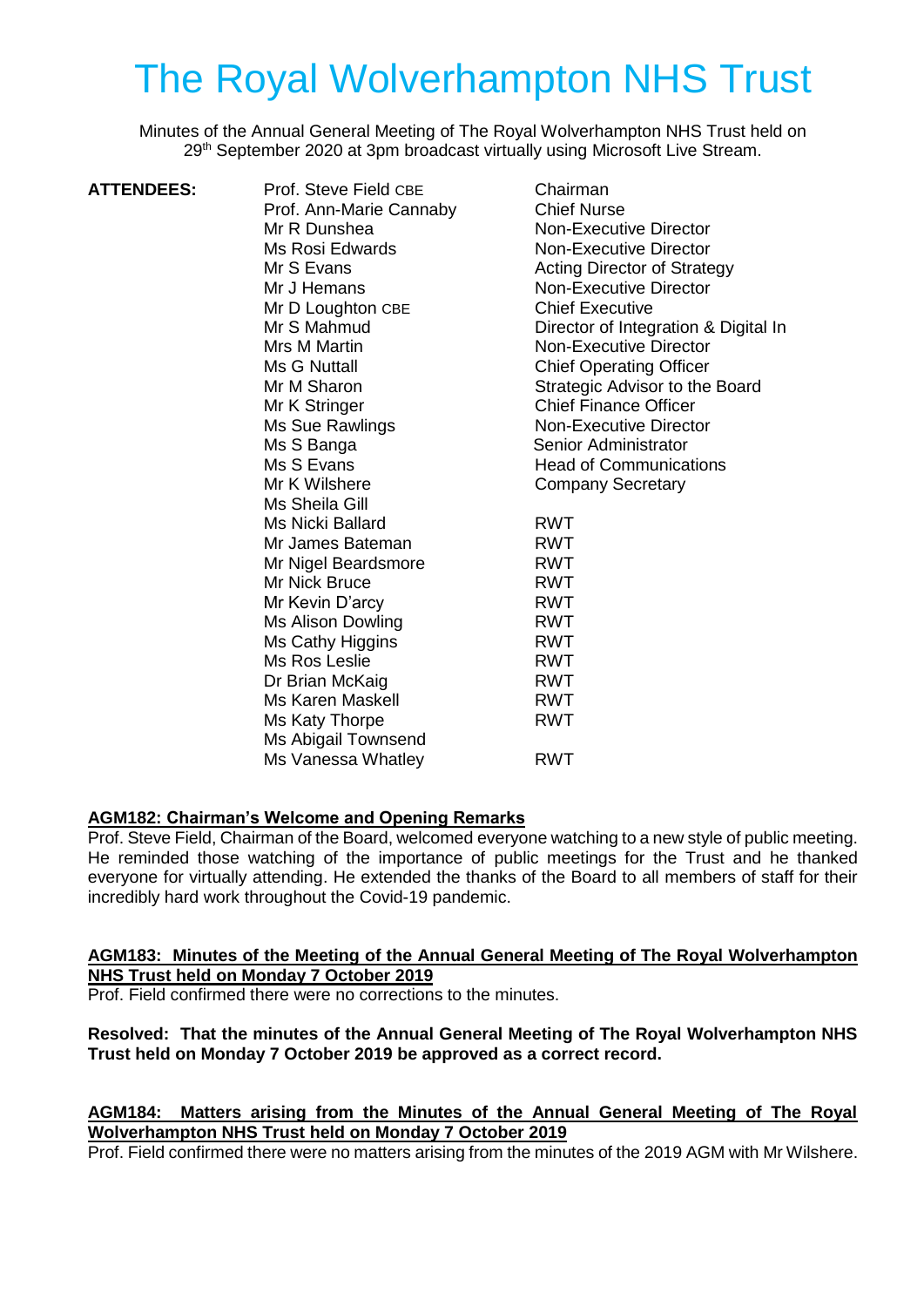# The Royal Wolverhampton NHS Trust

Minutes of the Annual General Meeting of The Royal Wolverhampton NHS Trust held on 29<sup>th</sup> September 2020 at 3pm broadcast virtually using Microsoft Live Stream.

| <b>ATTENDEES:</b> | Prof. Steve Field CBE   | Chairman                             |
|-------------------|-------------------------|--------------------------------------|
|                   | Prof. Ann-Marie Cannaby | <b>Chief Nurse</b>                   |
|                   | Mr R Dunshea            | <b>Non-Executive Director</b>        |
|                   | Ms Rosi Edwards         | <b>Non-Executive Director</b>        |
|                   | Mr S Evans              | <b>Acting Director of Strategy</b>   |
|                   | Mr J Hemans             | <b>Non-Executive Director</b>        |
|                   | Mr D Loughton CBE       | <b>Chief Executive</b>               |
|                   | Mr S Mahmud             | Director of Integration & Digital In |
|                   | Mrs M Martin            | <b>Non-Executive Director</b>        |
|                   | Ms G Nuttall            | <b>Chief Operating Officer</b>       |
|                   | Mr M Sharon             | Strategic Advisor to the Board       |
|                   | Mr K Stringer           | <b>Chief Finance Officer</b>         |
|                   | Ms Sue Rawlings         | <b>Non-Executive Director</b>        |
|                   | Ms S Banga              | Senior Administrator                 |
|                   | Ms S Evans              | <b>Head of Communications</b>        |
|                   | Mr K Wilshere           | <b>Company Secretary</b>             |
|                   | Ms Sheila Gill          |                                      |
|                   | Ms Nicki Ballard        | <b>RWT</b>                           |
|                   | Mr James Bateman        | <b>RWT</b>                           |
|                   | Mr Nigel Beardsmore     | <b>RWT</b>                           |
|                   | Mr Nick Bruce           | <b>RWT</b>                           |
|                   | Mr Kevin D'arcy         | <b>RWT</b>                           |
|                   | Ms Alison Dowling       | <b>RWT</b>                           |
|                   | Ms Cathy Higgins        | <b>RWT</b>                           |
|                   | Ms Ros Leslie           | <b>RWT</b>                           |
|                   | Dr Brian McKaig         | <b>RWT</b>                           |
|                   | <b>Ms Karen Maskell</b> | <b>RWT</b>                           |
|                   | Ms Katy Thorpe          | <b>RWT</b>                           |
|                   | Ms Abigail Townsend     |                                      |
|                   | Ms Vanessa Whatley      | <b>RWT</b>                           |
|                   |                         |                                      |

#### **AGM182: Chairman's Welcome and Opening Remarks**

Prof. Steve Field, Chairman of the Board, welcomed everyone watching to a new style of public meeting. He reminded those watching of the importance of public meetings for the Trust and he thanked everyone for virtually attending. He extended the thanks of the Board to all members of staff for their incredibly hard work throughout the Covid-19 pandemic.

#### **AGM183: Minutes of the Meeting of the Annual General Meeting of The Royal Wolverhampton NHS Trust held on Monday 7 October 2019**

Prof. Field confirmed there were no corrections to the minutes.

#### **Resolved: That the minutes of the Annual General Meeting of The Royal Wolverhampton NHS Trust held on Monday 7 October 2019 be approved as a correct record.**

## **AGM184: Matters arising from the Minutes of the Annual General Meeting of The Royal Wolverhampton NHS Trust held on Monday 7 October 2019**

Prof. Field confirmed there were no matters arising from the minutes of the 2019 AGM with Mr Wilshere.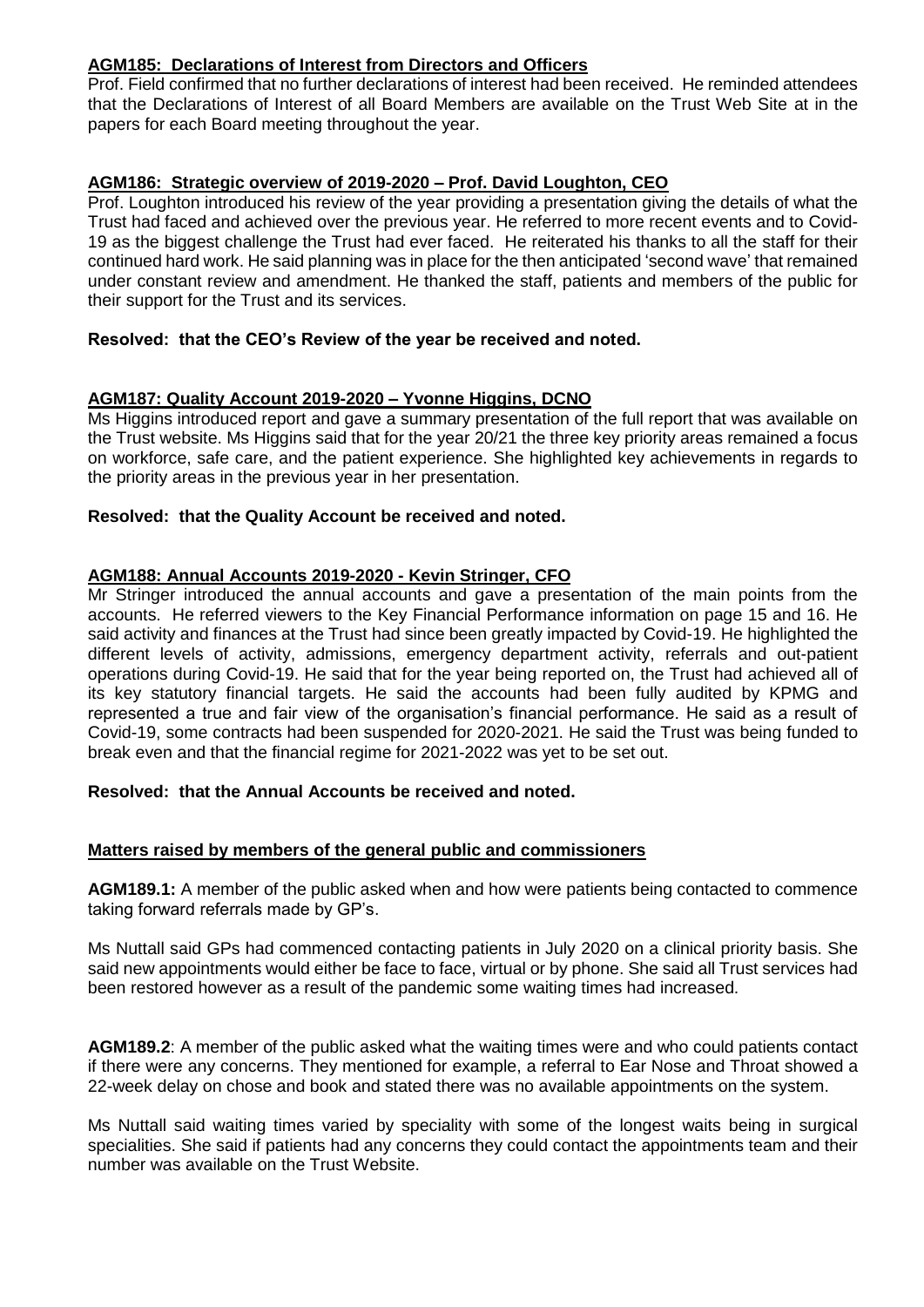## **AGM185: Declarations of Interest from Directors and Officers**

Prof. Field confirmed that no further declarations of interest had been received. He reminded attendees that the Declarations of Interest of all Board Members are available on the Trust Web Site at in the papers for each Board meeting throughout the year.

#### **AGM186: Strategic overview of 2019-2020 – Prof. David Loughton, CEO**

Prof. Loughton introduced his review of the year providing a presentation giving the details of what the Trust had faced and achieved over the previous year. He referred to more recent events and to Covid-19 as the biggest challenge the Trust had ever faced. He reiterated his thanks to all the staff for their continued hard work. He said planning was in place for the then anticipated 'second wave' that remained under constant review and amendment. He thanked the staff, patients and members of the public for their support for the Trust and its services.

#### **Resolved: that the CEO's Review of the year be received and noted.**

#### **AGM187: Quality Account 2019-2020 – Yvonne Higgins, DCNO**

Ms Higgins introduced report and gave a summary presentation of the full report that was available on the Trust website. Ms Higgins said that for the year 20/21 the three key priority areas remained a focus on workforce, safe care, and the patient experience. She highlighted key achievements in regards to the priority areas in the previous year in her presentation.

#### **Resolved: that the Quality Account be received and noted.**

#### **AGM188: Annual Accounts 2019-2020 - Kevin Stringer, CFO**

Mr Stringer introduced the annual accounts and gave a presentation of the main points from the accounts. He referred viewers to the Key Financial Performance information on page 15 and 16. He said activity and finances at the Trust had since been greatly impacted by Covid-19. He highlighted the different levels of activity, admissions, emergency department activity, referrals and out-patient operations during Covid-19. He said that for the year being reported on, the Trust had achieved all of its key statutory financial targets. He said the accounts had been fully audited by KPMG and represented a true and fair view of the organisation's financial performance. He said as a result of Covid-19, some contracts had been suspended for 2020-2021. He said the Trust was being funded to break even and that the financial regime for 2021-2022 was yet to be set out.

#### **Resolved: that the Annual Accounts be received and noted.**

#### **Matters raised by members of the general public and commissioners**

**AGM189.1:** A member of the public asked when and how were patients being contacted to commence taking forward referrals made by GP's.

Ms Nuttall said GPs had commenced contacting patients in July 2020 on a clinical priority basis. She said new appointments would either be face to face, virtual or by phone. She said all Trust services had been restored however as a result of the pandemic some waiting times had increased.

**AGM189.2**: A member of the public asked what the waiting times were and who could patients contact if there were any concerns. They mentioned for example, a referral to Ear Nose and Throat showed a 22-week delay on chose and book and stated there was no available appointments on the system.

Ms Nuttall said waiting times varied by speciality with some of the longest waits being in surgical specialities. She said if patients had any concerns they could contact the appointments team and their number was available on the Trust Website.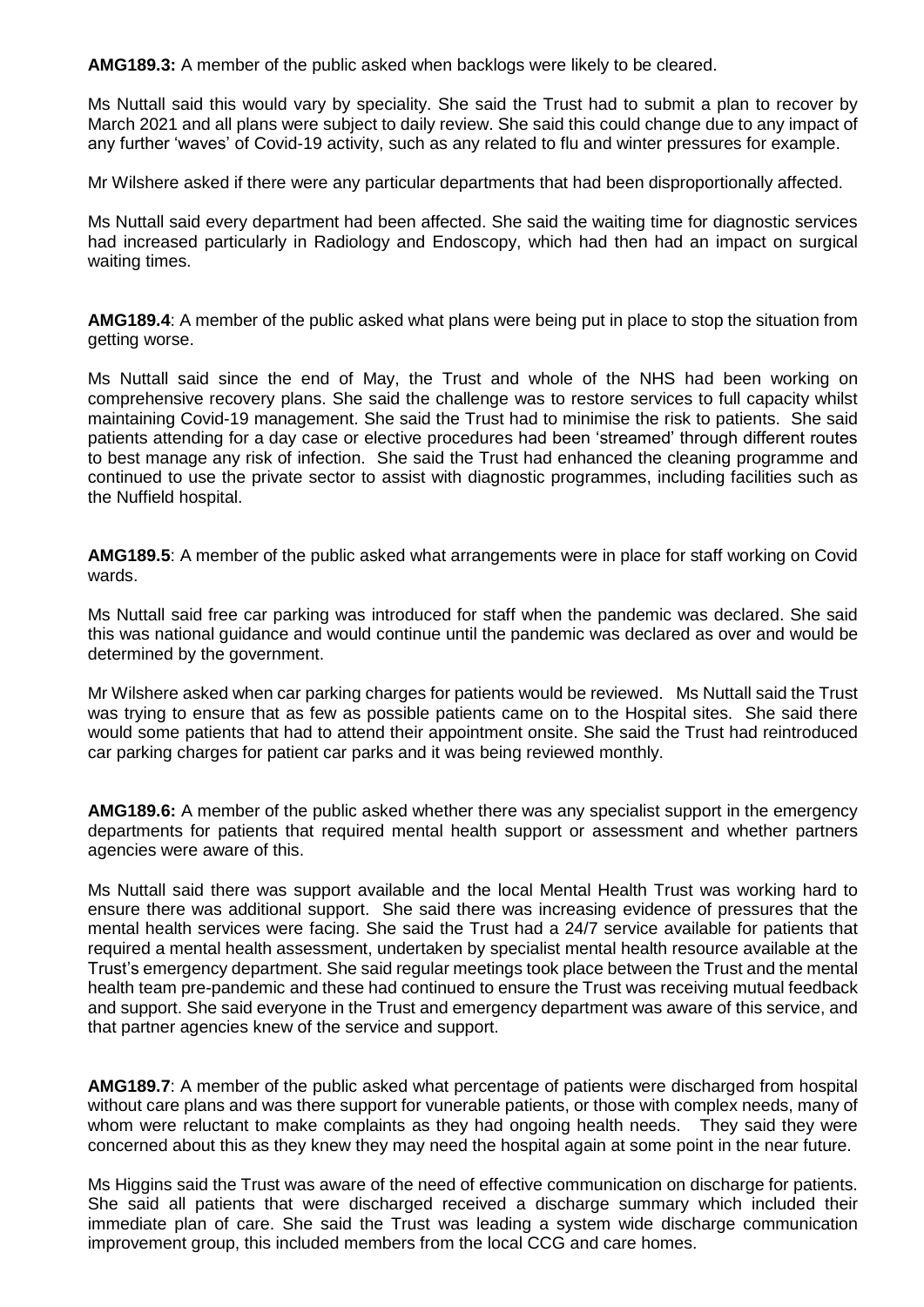**AMG189.3:** A member of the public asked when backlogs were likely to be cleared.

Ms Nuttall said this would vary by speciality. She said the Trust had to submit a plan to recover by March 2021 and all plans were subject to daily review. She said this could change due to any impact of any further 'waves' of Covid-19 activity, such as any related to flu and winter pressures for example.

Mr Wilshere asked if there were any particular departments that had been disproportionally affected.

Ms Nuttall said every department had been affected. She said the waiting time for diagnostic services had increased particularly in Radiology and Endoscopy, which had then had an impact on surgical waiting times.

**AMG189.4**: A member of the public asked what plans were being put in place to stop the situation from getting worse.

Ms Nuttall said since the end of May, the Trust and whole of the NHS had been working on comprehensive recovery plans. She said the challenge was to restore services to full capacity whilst maintaining Covid-19 management. She said the Trust had to minimise the risk to patients. She said patients attending for a day case or elective procedures had been 'streamed' through different routes to best manage any risk of infection. She said the Trust had enhanced the cleaning programme and continued to use the private sector to assist with diagnostic programmes, including facilities such as the Nuffield hospital.

**AMG189.5**: A member of the public asked what arrangements were in place for staff working on Covid wards.

Ms Nuttall said free car parking was introduced for staff when the pandemic was declared. She said this was national guidance and would continue until the pandemic was declared as over and would be determined by the government.

Mr Wilshere asked when car parking charges for patients would be reviewed. Ms Nuttall said the Trust was trying to ensure that as few as possible patients came on to the Hospital sites. She said there would some patients that had to attend their appointment onsite. She said the Trust had reintroduced car parking charges for patient car parks and it was being reviewed monthly.

**AMG189.6:** A member of the public asked whether there was any specialist support in the emergency departments for patients that required mental health support or assessment and whether partners agencies were aware of this.

Ms Nuttall said there was support available and the local Mental Health Trust was working hard to ensure there was additional support. She said there was increasing evidence of pressures that the mental health services were facing. She said the Trust had a 24/7 service available for patients that required a mental health assessment, undertaken by specialist mental health resource available at the Trust's emergency department. She said regular meetings took place between the Trust and the mental health team pre-pandemic and these had continued to ensure the Trust was receiving mutual feedback and support. She said everyone in the Trust and emergency department was aware of this service, and that partner agencies knew of the service and support.

**AMG189.7**: A member of the public asked what percentage of patients were discharged from hospital without care plans and was there support for vunerable patients, or those with complex needs, many of whom were reluctant to make complaints as they had ongoing health needs. They said they were concerned about this as they knew they may need the hospital again at some point in the near future.

Ms Higgins said the Trust was aware of the need of effective communication on discharge for patients. She said all patients that were discharged received a discharge summary which included their immediate plan of care. She said the Trust was leading a system wide discharge communication improvement group, this included members from the local CCG and care homes.